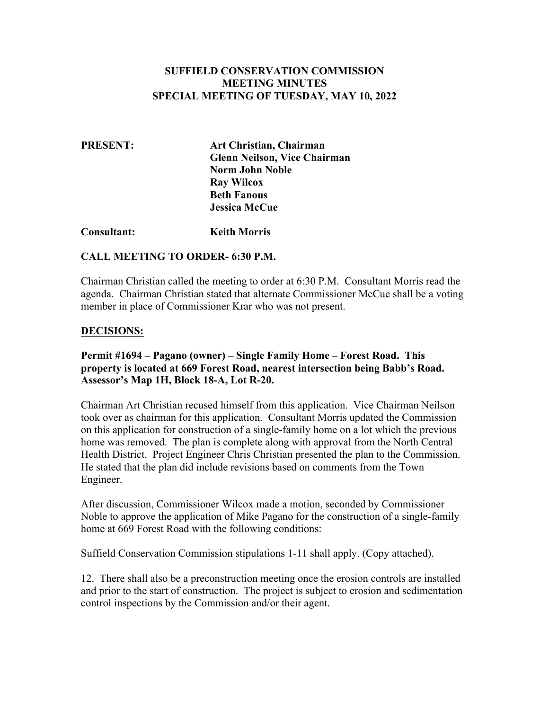#### **SUFFIELD CONSERVATION COMMISSION MEETING MINUTES SPECIAL MEETING OF TUESDAY, MAY 10, 2022**

**PRESENT: Art Christian, Chairman Glenn Neilson, Vice Chairman Norm John Noble Ray Wilcox Beth Fanous Jessica McCue**

**Consultant: Keith Morris**

# **CALL MEETING TO ORDER- 6:30 P.M.**

Chairman Christian called the meeting to order at 6:30 P.M. Consultant Morris read the agenda. Chairman Christian stated that alternate Commissioner McCue shall be a voting member in place of Commissioner Krar who was not present.

# **DECISIONS:**

## **Permit #1694 – Pagano (owner) – Single Family Home – Forest Road. This property is located at 669 Forest Road, nearest intersection being Babb's Road. Assessor's Map 1H, Block 18-A, Lot R-20.**

Chairman Art Christian recused himself from this application. Vice Chairman Neilson took over as chairman for this application. Consultant Morris updated the Commission on this application for construction of a single-family home on a lot which the previous home was removed. The plan is complete along with approval from the North Central Health District. Project Engineer Chris Christian presented the plan to the Commission. He stated that the plan did include revisions based on comments from the Town Engineer.

After discussion, Commissioner Wilcox made a motion, seconded by Commissioner Noble to approve the application of Mike Pagano for the construction of a single-family home at 669 Forest Road with the following conditions:

Suffield Conservation Commission stipulations 1-11 shall apply. (Copy attached).

12. There shall also be a preconstruction meeting once the erosion controls are installed and prior to the start of construction. The project is subject to erosion and sedimentation control inspections by the Commission and/or their agent.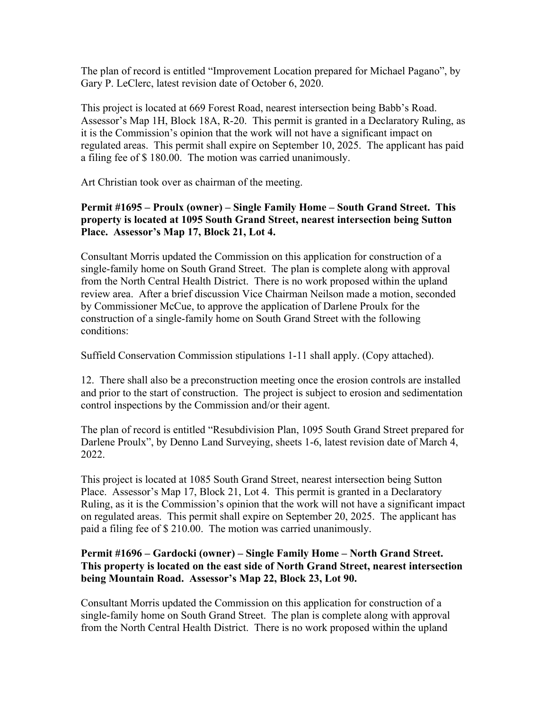The plan of record is entitled "Improvement Location prepared for Michael Pagano", by Gary P. LeClerc, latest revision date of October 6, 2020.

This project is located at 669 Forest Road, nearest intersection being Babb's Road. Assessor's Map 1H, Block 18A, R-20. This permit is granted in a Declaratory Ruling, as it is the Commission's opinion that the work will not have a significant impact on regulated areas. This permit shall expire on September 10, 2025. The applicant has paid a filing fee of \$ 180.00. The motion was carried unanimously.

Art Christian took over as chairman of the meeting.

# **Permit #1695 – Proulx (owner) – Single Family Home – South Grand Street. This property is located at 1095 South Grand Street, nearest intersection being Sutton Place. Assessor's Map 17, Block 21, Lot 4.**

Consultant Morris updated the Commission on this application for construction of a single-family home on South Grand Street. The plan is complete along with approval from the North Central Health District. There is no work proposed within the upland review area. After a brief discussion Vice Chairman Neilson made a motion, seconded by Commissioner McCue, to approve the application of Darlene Proulx for the construction of a single-family home on South Grand Street with the following conditions:

Suffield Conservation Commission stipulations 1-11 shall apply. (Copy attached).

12. There shall also be a preconstruction meeting once the erosion controls are installed and prior to the start of construction. The project is subject to erosion and sedimentation control inspections by the Commission and/or their agent.

The plan of record is entitled "Resubdivision Plan, 1095 South Grand Street prepared for Darlene Proulx", by Denno Land Surveying, sheets 1-6, latest revision date of March 4, 2022.

This project is located at 1085 South Grand Street, nearest intersection being Sutton Place. Assessor's Map 17, Block 21, Lot 4. This permit is granted in a Declaratory Ruling, as it is the Commission's opinion that the work will not have a significant impact on regulated areas. This permit shall expire on September 20, 2025. The applicant has paid a filing fee of \$ 210.00. The motion was carried unanimously.

# **Permit #1696 – Gardocki (owner) – Single Family Home – North Grand Street. This property is located on the east side of North Grand Street, nearest intersection being Mountain Road. Assessor's Map 22, Block 23, Lot 90.**

Consultant Morris updated the Commission on this application for construction of a single-family home on South Grand Street. The plan is complete along with approval from the North Central Health District. There is no work proposed within the upland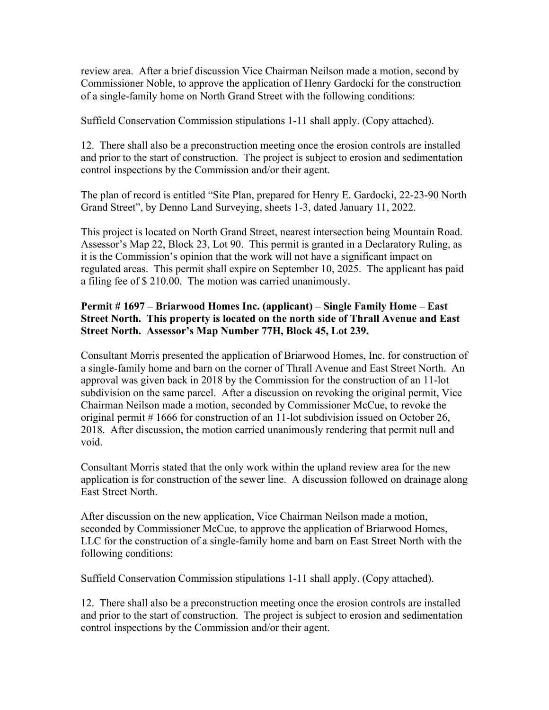review area. After a brief discussion Vice Chairman Neilson made a motion, second by Commissioner Noble, to approve the application of Henry Gardocki for the construction of a single-family home on North Grand Street with the following conditions:

Suffield Conservation Commission stipulations 1-11 shall apply. (Copy attached).

12. There shall also be a preconstruction meeting once the erosion controls are installed and prior to the start of construction. The project is subject to erosion and sedimentation control inspections by the Commission and/or their agent.

The plan of record is entitled "Site Plan, prepared for Henry E. Gardocki, 22-23-90 North Grand Street", by Denno Land Surveying, sheets 1-3, dated January 11, 2022.

This project is located on North Grand Street, nearest intersection being Mountain Road. Assessor's Map 22, Block 23, Lot 90. This permit is granted in a Declaratory Ruling, as it is the Commission's opinion that the work will not have a significant impact on regulated areas. This permit shall expire on September 10, 2025. The applicant has paid a filing fee of \$ 210.00. The motion was carried unanimously.

# **Permit # 1697 – Briarwood Homes Inc. (applicant) – Single Family Home – East Street North. This property is located on the north side of Thrall Avenue and East Street North. Assessor's Map Number 77H, Block 45, Lot 239.**

Consultant Morris presented the application of Briarwood Homes, Inc. for construction of a single-family home and barn on the corner of Thrall Avenue and East Street North. An approval was given back in 2018 by the Commission for the construction of an 11-lot subdivision on the same parcel. After a discussion on revoking the original permit, Vice Chairman Neilson made a motion, seconded by Commissioner McCue, to revoke the original permit # 1666 for construction of an 11-lot subdivision issued on October 26, 2018. After discussion, the motion carried unanimously rendering that permit null and void.

Consultant Morris stated that the only work within the upland review area for the new application is for construction of the sewer line. A discussion followed on drainage along East Street North.

After discussion on the new application, Vice Chairman Neilson made a motion, seconded by Commissioner McCue, to approve the application of Briarwood Homes, LLC for the construction of a single-family home and barn on East Street North with the following conditions:

Suffield Conservation Commission stipulations 1-11 shall apply. (Copy attached).

12. There shall also be a preconstruction meeting once the erosion controls are installed and prior to the start of construction. The project is subject to erosion and sedimentation control inspections by the Commission and/or their agent.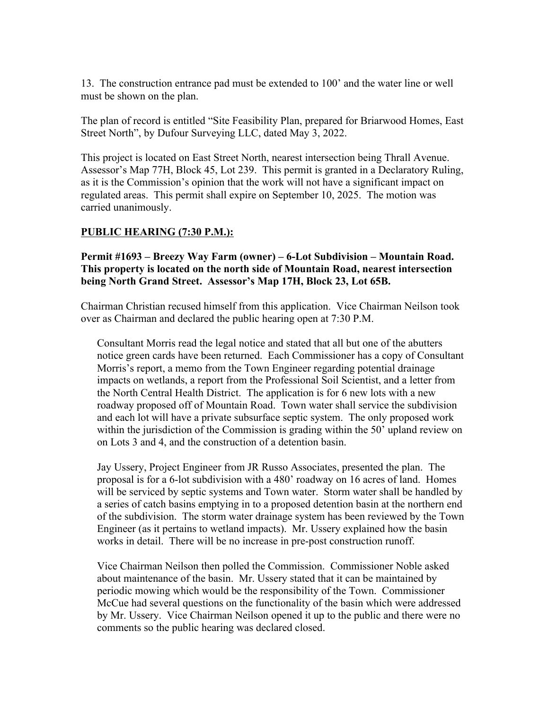13. The construction entrance pad must be extended to 100' and the water line or well must be shown on the plan.

The plan of record is entitled "Site Feasibility Plan, prepared for Briarwood Homes, East Street North", by Dufour Surveying LLC, dated May 3, 2022.

This project is located on East Street North, nearest intersection being Thrall Avenue. Assessor's Map 77H, Block 45, Lot 239. This permit is granted in a Declaratory Ruling, as it is the Commission's opinion that the work will not have a significant impact on regulated areas. This permit shall expire on September 10, 2025. The motion was carried unanimously.

# **PUBLIC HEARING (7:30 P.M.):**

#### **Permit #1693 – Breezy Way Farm (owner) – 6-Lot Subdivision – Mountain Road. This property is located on the north side of Mountain Road, nearest intersection being North Grand Street. Assessor's Map 17H, Block 23, Lot 65B.**

Chairman Christian recused himself from this application. Vice Chairman Neilson took over as Chairman and declared the public hearing open at 7:30 P.M.

Consultant Morris read the legal notice and stated that all but one of the abutters notice green cards have been returned. Each Commissioner has a copy of Consultant Morris's report, a memo from the Town Engineer regarding potential drainage impacts on wetlands, a report from the Professional Soil Scientist, and a letter from the North Central Health District. The application is for 6 new lots with a new roadway proposed off of Mountain Road. Town water shall service the subdivision and each lot will have a private subsurface septic system. The only proposed work within the jurisdiction of the Commission is grading within the 50' upland review on on Lots 3 and 4, and the construction of a detention basin.

Jay Ussery, Project Engineer from JR Russo Associates, presented the plan. The proposal is for a 6-lot subdivision with a 480' roadway on 16 acres of land. Homes will be serviced by septic systems and Town water. Storm water shall be handled by a series of catch basins emptying in to a proposed detention basin at the northern end of the subdivision. The storm water drainage system has been reviewed by the Town Engineer (as it pertains to wetland impacts). Mr. Ussery explained how the basin works in detail. There will be no increase in pre-post construction runoff.

Vice Chairman Neilson then polled the Commission. Commissioner Noble asked about maintenance of the basin. Mr. Ussery stated that it can be maintained by periodic mowing which would be the responsibility of the Town. Commissioner McCue had several questions on the functionality of the basin which were addressed by Mr. Ussery. Vice Chairman Neilson opened it up to the public and there were no comments so the public hearing was declared closed.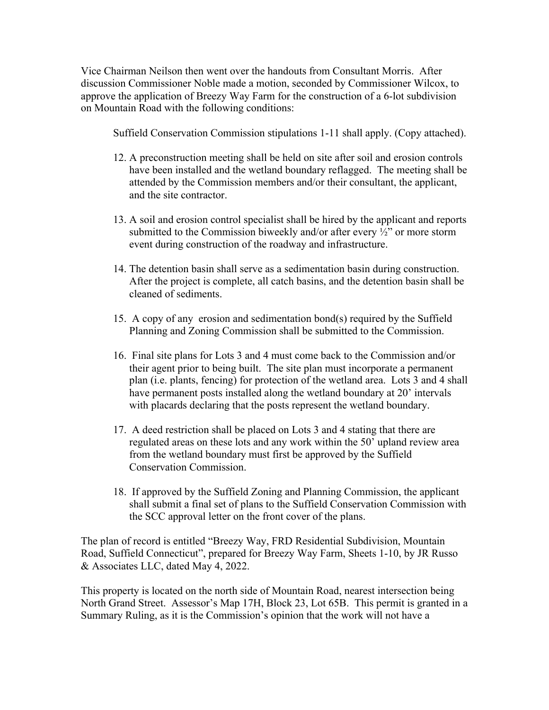Vice Chairman Neilson then went over the handouts from Consultant Morris. After discussion Commissioner Noble made a motion, seconded by Commissioner Wilcox, to approve the application of Breezy Way Farm for the construction of a 6-lot subdivision on Mountain Road with the following conditions:

Suffield Conservation Commission stipulations 1-11 shall apply. (Copy attached).

- 12. A preconstruction meeting shall be held on site after soil and erosion controls have been installed and the wetland boundary reflagged. The meeting shall be attended by the Commission members and/or their consultant, the applicant, and the site contractor.
- 13. A soil and erosion control specialist shall be hired by the applicant and reports submitted to the Commission biweekly and/or after every  $\frac{1}{2}$  or more storm event during construction of the roadway and infrastructure.
- 14. The detention basin shall serve as a sedimentation basin during construction. After the project is complete, all catch basins, and the detention basin shall be cleaned of sediments.
- 15. A copy of any erosion and sedimentation bond(s) required by the Suffield Planning and Zoning Commission shall be submitted to the Commission.
- 16. Final site plans for Lots 3 and 4 must come back to the Commission and/or their agent prior to being built. The site plan must incorporate a permanent plan (i.e. plants, fencing) for protection of the wetland area. Lots 3 and 4 shall have permanent posts installed along the wetland boundary at 20' intervals with placards declaring that the posts represent the wetland boundary.
- 17. A deed restriction shall be placed on Lots 3 and 4 stating that there are regulated areas on these lots and any work within the 50' upland review area from the wetland boundary must first be approved by the Suffield Conservation Commission.
- 18. If approved by the Suffield Zoning and Planning Commission, the applicant shall submit a final set of plans to the Suffield Conservation Commission with the SCC approval letter on the front cover of the plans.

The plan of record is entitled "Breezy Way, FRD Residential Subdivision, Mountain Road, Suffield Connecticut", prepared for Breezy Way Farm, Sheets 1-10, by JR Russo & Associates LLC, dated May 4, 2022.

This property is located on the north side of Mountain Road, nearest intersection being North Grand Street. Assessor's Map 17H, Block 23, Lot 65B. This permit is granted in a Summary Ruling, as it is the Commission's opinion that the work will not have a